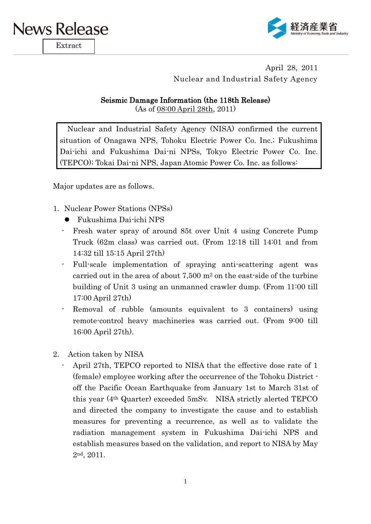

Extract



April 28, 2011 Nuclear and Industrial Safety Agency

## Seismic Damage Information (the 118th Release)

(As of 08:00 April 28th, 2011)

Nuclear and Industrial Safety Agency (NISA) confirmed the current situation of Onagawa NPS, Tohoku Electric Power Co. Inc.; Fukushima Dai-ichi and Fukushima Dai-ni NPSs, Tokyo Electric Power Co. Inc. (TEPCO); Tokai Dai-ni NPS, Japan Atomic Power Co. Inc. as follows:

Major updates are as follows.

- 1. Nuclear Power Stations (NPSs)
	- Fukushima Dai-ichi NPS
	- Fresh water spray of around 85t over Unit 4 using Concrete Pump Truck (62m class) was carried out. (From 12:18 till 14:01 and from 14:32 till 15:15 April 27th)
	- Full-scale implementation of spraying anti-scattering agent was carried out in the area of about  $7.500 \text{ m}^2$  on the east-side of the turbine building of Unit 3 using an unmanned crawler dump. (From 11:00 till 17:00 April 27th)
	- Removal of rubble (amounts equivalent to 3 containers) using remote-control heavy machineries was carried out. (From 9:00 till 16:00 April 27th).
- 2. Action taken by NISA
	- April 27th, TEPCO reported to NISA that the effective dose rate of 1 (female) employee working after the occurrence of the Tohoku District off the Pacific Ocean Earthquake from January 1st to March 31st of this year (4th Quarter) exceeded 5mSv. NISA strictly alerted TEPCO and directed the company to investigate the cause and to establish measures for preventing a recurrence, as well as to validate the radiation management system in Fukushima Dai-ichi NPS and establish measures based on the validation, and report to NISA by May 2nd, 2011.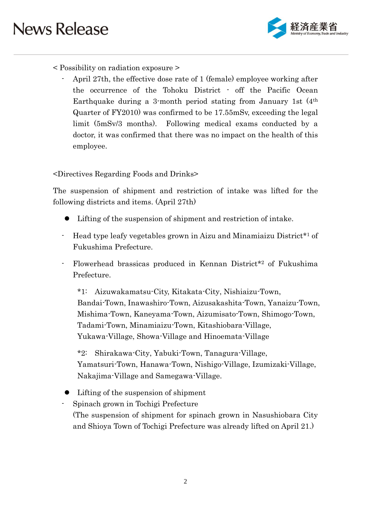

## < Possibility on radiation exposure >

- April 27th, the effective dose rate of 1 (female) employee working after the occurrence of the Tohoku District - off the Pacific Ocean Earthquake during a 3-month period stating from January 1st (4th Quarter of FY2010) was confirmed to be 17.55mSv, exceeding the legal limit (5mSv/3 months). Following medical exams conducted by a doctor, it was confirmed that there was no impact on the health of this employee.

## <Directives Regarding Foods and Drinks>

The suspension of shipment and restriction of intake was lifted for the following districts and items. (April 27th)

- Lifting of the suspension of shipment and restriction of intake.
- Head type leafy vegetables grown in Aizu and Minamiaizu District<sup>\*1</sup> of Fukushima Prefecture.
- Flowerhead brassicas produced in Kennan District\*<sup>2</sup> of Fukushima Prefecture.

\*1: Aizuwakamatsu-City, Kitakata-City, Nishiaizu-Town, Bandai-Town, Inawashiro-Town, Aizusakashita-Town, Yanaizu-Town, Mishima-Town, Kaneyama-Town, Aizumisato-Town, Shimogo-Town, Tadami-Town, Minamiaizu-Town, Kitashiobara-Village, Yukawa-Village, Showa-Village and Hinoemata-Village

\*2: Shirakawa-City, Yabuki-Town, Tanagura-Village, Yamatsuri-Town, Hanawa-Town, Nishigo-Village, Izumizaki-Village, Nakajima-Village and Samegawa-Village.

Lifting of the suspension of shipment

- Spinach grown in Tochigi Prefecture (The suspension of shipment for spinach grown in Nasushiobara City and Shioya Town of Tochigi Prefecture was already lifted on April 21.)